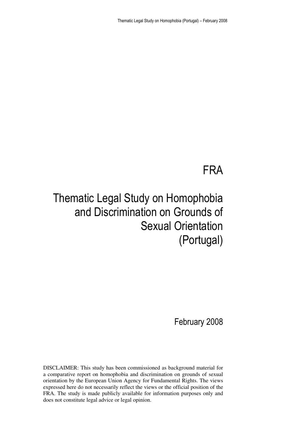## FRA

# Thematic Legal Study on Homophobia and Discrimination on Grounds of Sexual Orientation (Portugal)

February 2008

DISCLAIMER: This study has been commissioned as background material for a comparative report on homophobia and discrimination on grounds of sexual orientation by the European Union Agency for Fundamental Rights. The views expressed here do not necessarily reflect the views or the official position of the FRA. The study is made publicly available for information purposes only and does not constitute legal advice or legal opinion.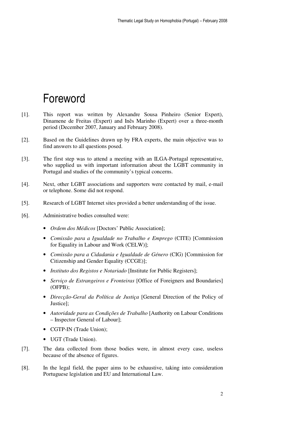## Foreword

- [1]. This report was written by Alexandre Sousa Pinheiro (Senior Expert), Dinamene de Freitas (Expert) and Inês Marinho (Expert) over a three-month period (December 2007, January and February 2008).
- [2]. Based on the Guidelines drawn up by FRA experts, the main objective was to find answers to all questions posed.
- [3]. The first step was to attend a meeting with an ILGA-Portugal representative, who supplied us with important information about the LGBT community in Portugal and studies of the community's typical concerns.
- [4]. Next, other LGBT associations and supporters were contacted by mail, e-mail or telephone. Some did not respond.
- [5]. Research of LGBT Internet sites provided a better understanding of the issue.
- [6]. Administrative bodies consulted were:
	- *Ordem dos Médicos* [Doctors' Public Association];
	- *Comissão para a Igualdade no Trabalho e Emprego* (CITE) [Commission for Equality in Labour and Work (CELW)];
	- *Comissão para a Cidadania e Igualdade de Género* (CIG) [Commission for Citizenship and Gender Equality (CCGE)];
	- *Instituto dos Registos e Notariado* [Institute for Public Registers];
	- *Serviço de Estrangeiros e Fronteiras* [Office of Foreigners and Boundaries] (OFPB);
	- *Direcção-Geral da Política de Justiça* [General Direction of the Policy of Justice];
	- *Autoridade para as Condições de Trabalho* [Authority on Labour Conditions – Inspector General of Labour];
	- CGTP-IN (Trade Union);
	- UGT (Trade Union).
- [7]. The data collected from those bodies were, in almost every case, useless because of the absence of figures.
- [8]. In the legal field, the paper aims to be exhaustive, taking into consideration Portuguese legislation and EU and International Law.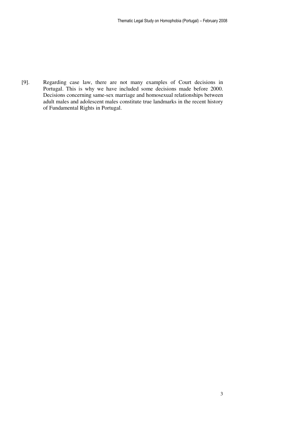[9]. Regarding case law, there are not many examples of Court decisions in Portugal. This is why we have included some decisions made before 2000. Decisions concerning same-sex marriage and homosexual relationships between adult males and adolescent males constitute true landmarks in the recent history of Fundamental Rights in Portugal.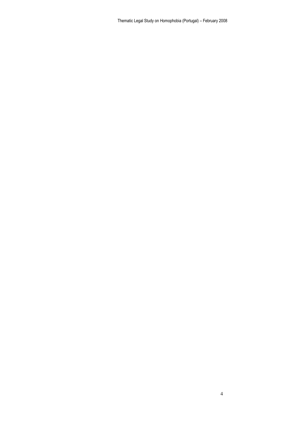Thematic Legal Study on Homophobia (Portugal) – February 2008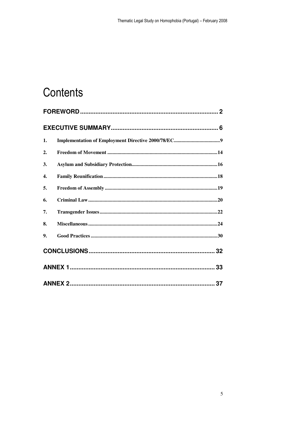# Contents

| 1.               |  |
|------------------|--|
| 2.               |  |
| 3.               |  |
| $\overline{4}$ . |  |
| 5.               |  |
| 6.               |  |
| 7.               |  |
| 8.               |  |
| 9.               |  |
|                  |  |
|                  |  |
|                  |  |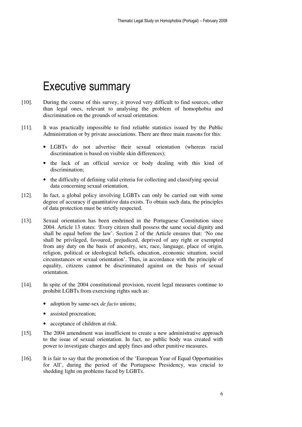## Executive summary

- [10]. During the course of this survey, it proved very difficult to find sources, other than legal ones, relevant to analysing the problem of homophobia and discrimination on the grounds of sexual orientation.
- [11]. It was practically impossible to find reliable statistics issued by the Public Administration or by private associations. There are three main reasons for this:
	- LGBTs do not advertise their sexual orientation (whereas racial discrimination is based on visible skin differences);
	- the lack of an official service or body dealing with this kind of discrimination;
	- the difficulty of defining valid criteria for collecting and classifying special data concerning sexual orientation.
- [12]. In fact, a global policy involving LGBTs can only be carried out with some degree of accuracy if quantitative data exists. To obtain such data, the principles of data protection must be strictly respected.
- [13]. Sexual orientation has been enshrined in the Portuguese Constitution since 2004. Article 13 states: 'Every citizen shall possess the same social dignity and shall be equal before the law'. Section 2 of the Article ensures that: 'No one shall be privileged, favoured, prejudiced, deprived of any right or exempted from any duty on the basis of ancestry, sex, race, language, place of origin, religion, political or ideological beliefs, education, economic situation, social circumstances or sexual orientation'. Thus, in accordance with the principle of equality, citizens cannot be discriminated against on the basis of sexual orientation.
- [14]. In spite of the 2004 constitutional provision, recent legal measures continue to prohibit LGBTs from exercising rights such as:
	- adoption by same-sex *de facto* unions;
	- assisted procreation;
	- acceptance of children at risk.
- [15]. The 2004 amendment was insufficient to create a new administrative approach to the issue of sexual orientation. In fact, no public body was created with power to investigate charges and apply fines and other punitive measures.
- [16]. It is fair to say that the promotion of the 'European Year of Equal Opportunities for All', during the period of the Portuguese Presidency, was crucial to shedding light on problems faced by LGBTs.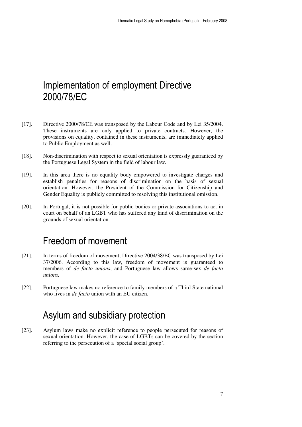### Implementation of employment Directive 2000/78/EC

- [17]. Directive 2000/78/CE was transposed by the Labour Code and by Lei 35/2004. These instruments are only applied to private contracts. However, the provisions on equality, contained in these instruments, are immediately applied to Public Employment as well.
- [18]. Non-discrimination with respect to sexual orientation is expressly guaranteed by the Portuguese Legal System in the field of labour law.
- [19]. In this area there is no equality body empowered to investigate charges and establish penalties for reasons of discrimination on the basis of sexual orientation. However, the President of the Commission for Citizenship and Gender Equality is publicly committed to resolving this institutional omission.
- [20]. In Portugal, it is not possible for public bodies or private associations to act in court on behalf of an LGBT who has suffered any kind of discrimination on the grounds of sexual orientation.

### Freedom of movement

- [21]. In terms of freedom of movement, Directive 2004/38/EC was transposed by Lei 37/2006. According to this law, freedom of movement is guaranteed to members of *de facto unions*, and Portuguese law allows same-sex *de facto unions.*
- [22]. Portuguese law makes no reference to family members of a Third State national who lives in *de facto* union with an EU citizen.

### Asylum and subsidiary protection

[23]. Asylum laws make no explicit reference to people persecuted for reasons of sexual orientation. However, the case of LGBTs can be covered by the section referring to the persecution of a 'special social group'.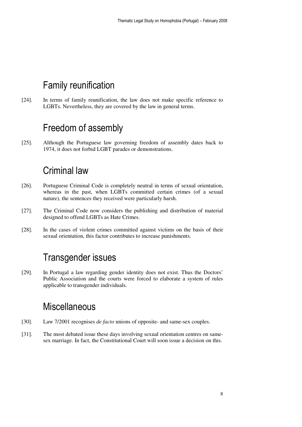## Family reunification

[24]. In terms of family reunification, the law does not make specific reference to LGBTs. Nevertheless, they are covered by the law in general terms.

## Freedom of assembly

[25]. Although the Portuguese law governing freedom of assembly dates back to 1974, it does not forbid LGBT parades or demonstrations.

## Criminal law

- [26]. Portuguese Criminal Code is completely neutral in terms of sexual orientation, whereas in the past, when LGBTs committed certain crimes (of a sexual nature), the sentences they received were particularly harsh.
- [27]. The Criminal Code now considers the publishing and distribution of material designed to offend LGBTs as Hate Crimes.
- [28]. In the cases of violent crimes committed against victims on the basis of their sexual orientation, this factor contributes to increase punishments.

## Transgender issues

[29]. In Portugal a law regarding gender identity does not exist. Thus the Doctors' Public Association and the courts were forced to elaborate a system of rules applicable to transgender individuals.

### **Miscellaneous**

- [30]. Law 7/2001 recognises *de facto* unions of opposite- and same-sex couples.
- [31]. The most debated issue these days involving sexual orientation centres on samesex marriage. In fact, the Constitutional Court will soon issue a decision on this.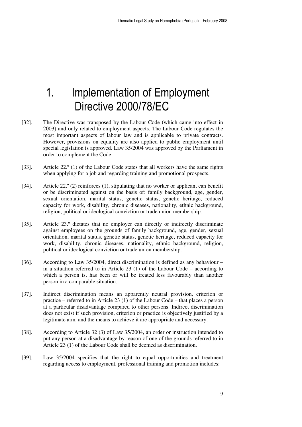## 1. Implementation of Employment Directive 2000/78/EC

- [32]. The Directive was transposed by the Labour Code (which came into effect in 2003) and only related to employment aspects. The Labour Code regulates the most important aspects of labour law and is applicable to private contracts. However, provisions on equality are also applied to public employment until special legislation is approved. Law 35/2004 was approved by the Parliament in order to complement the Code.
- [33]. Article 22.º (1) of the Labour Code states that all workers have the same rights when applying for a job and regarding training and promotional prospects.
- [34]. Article 22.º (2) reinforces (1), stipulating that no worker or applicant can benefit or be discriminated against on the basis of: family background, age, gender, sexual orientation, marital status, genetic status, genetic heritage, reduced capacity for work, disability, chronic diseases, nationality, ethnic background, religion, political or ideological conviction or trade union membership.
- [35]. Article 23.º dictates that no employer can directly or indirectly discriminate against employees on the grounds of family background, age, gender, sexual orientation, marital status, genetic status, genetic heritage, reduced capacity for work, disability, chronic diseases, nationality, ethnic background, religion, political or ideological conviction or trade union membership.
- [36]. According to Law 35/2004, direct discrimination is defined as any behaviour in a situation referred to in Article 23 (1) of the Labour Code – according to which a person is, has been or will be treated less favourably than another person in a comparable situation.
- [37]. Indirect discrimination means an apparently neutral provision, criterion or practice – referred to in Article 23 (1) of the Labour Code – that places a person at a particular disadvantage compared to other persons. Indirect discrimination does not exist if such provision, criterion or practice is objectively justified by a legitimate aim, and the means to achieve it are appropriate and necessary.
- [38]. According to Article 32 (3) of Law 35/2004, an order or instruction intended to put any person at a disadvantage by reason of one of the grounds referred to in Article 23 (1) of the Labour Code shall be deemed as discrimination.
- [39]. Law 35/2004 specifies that the right to equal opportunities and treatment regarding access to employment, professional training and promotion includes: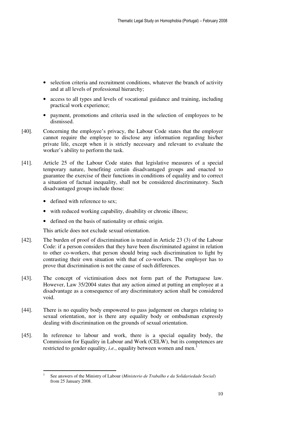- selection criteria and recruitment conditions, whatever the branch of activity and at all levels of professional hierarchy;
- access to all types and levels of vocational guidance and training, including practical work experience;
- payment, promotions and criteria used in the selection of employees to be dismissed.
- [40]. Concerning the employee's privacy, the Labour Code states that the employer cannot require the employee to disclose any information regarding his/her private life, except when it is strictly necessary and relevant to evaluate the worker's ability to perform the task.
- [41]. Article 25 of the Labour Code states that legislative measures of a special temporary nature, benefiting certain disadvantaged groups and enacted to guarantee the exercise of their functions in conditions of equality and to correct a situation of factual inequality, shall not be considered discriminatory. Such disadvantaged groups include those:
	- defined with reference to sex:

- with reduced working capability, disability or chronic illness;
- defined on the basis of nationality or ethnic origin.
- This article does not exclude sexual orientation.
- [42]. The burden of proof of discrimination is treated in Article 23 (3) of the Labour Code: if a person considers that they have been discriminated against in relation to other co-workers, that person should bring such discrimination to light by contrasting their own situation with that of co-workers. The employer has to prove that discrimination is not the cause of such differences.
- [43]. The concept of victimisation does not form part of the Portuguese law. However, Law 35/2004 states that any action aimed at putting an employee at a disadvantage as a consequence of any discriminatory action shall be considered void.
- [44]. There is no equality body empowered to pass judgement on charges relating to sexual orientation, nor is there any equality body or ombudsman expressly dealing with discrimination on the grounds of sexual orientation.
- [45]. In reference to labour and work, there is a special equality body, the Commission for Equality in Labour and Work (CELW), but its competences are restricted to gender equality, *i.e.*, equality between women and men.<sup>1</sup>

<sup>1</sup> See answers of the Ministry of Labour (*Ministerio de Trabalho e da Solidariedade Social*) from 25 January 2008.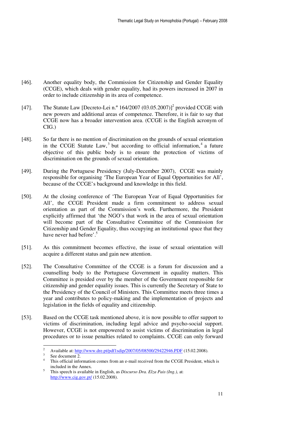- [46]. Another equality body, the Commission for Citizenship and Gender Equality (CCGE), which deals with gender equality, had its powers increased in 2007 in order to include citizenship in its area of competence.
- [47]. The Statute Law [Decreto-Lei n.<sup>o</sup> 164/2007 (03.05.2007)]<sup>2</sup> provided CCGE with new powers and additional areas of competence. Therefore, it is fair to say that CCGE now has a broader intervention area. (CCGE is the English acronym of CIG.)
- [48]. So far there is no mention of discrimination on the grounds of sexual orientation in the CCGE Statute Law,<sup>3</sup> but according to official information,<sup>4</sup> a future objective of this public body is to ensure the protection of victims of discrimination on the grounds of sexual orientation.
- [49]. During the Portuguese Presidency (July-December 2007), CCGE was mainly responsible for organising 'The European Year of Equal Opportunities for All', because of the CCGE's background and knowledge in this field.
- [50]. At the closing conference of 'The European Year of Equal Opportunities for All', the CCGE President made a firm commitment to address sexual orientation as part of the Commission's work. Furthermore, the President explicitly affirmed that 'the NGO's that work in the area of sexual orientation will become part of the Consultative Committee of the Commission for Citizenship and Gender Equality, thus occupying an institutional space that they have never had before'.<sup>5</sup>
- [51]. As this commitment becomes effective, the issue of sexual orientation will acquire a different status and gain new attention.
- [52]. The Consultative Committee of the CCGE is a forum for discussion and a counselling body to the Portuguese Government in equality matters. This Committee is presided over by the member of the Government responsible for citizenship and gender equality issues. This is currently the Secretary of State to the Presidency of the Council of Ministers. This Committee meets three times a year and contributes to policy-making and the implementation of projects and legislation in the fields of equality and citizenship.
- [53]. Based on the CCGE task mentioned above, it is now possible to offer support to victims of discrimination, including legal advice and psycho-social support. However, CCGE is not empowered to assist victims of discrimination in legal procedures or to issue penalties related to complaints. CCGE can only forward

 $\mathfrak{D}$ Available at: http://www.dre.pt/pdf1sdip/2007/05/08500/29422946.PDF (15.02.2008).

<sup>3</sup> See document 2.

<sup>4</sup> This official information comes from an e-mail received from the CCGE President, which is included in the Annex. 5

This speech is available in English, as *Discurso Dra. Elza Pais (Ing.)*, at: http://www.cig.gov.pt/ (15.02.2008).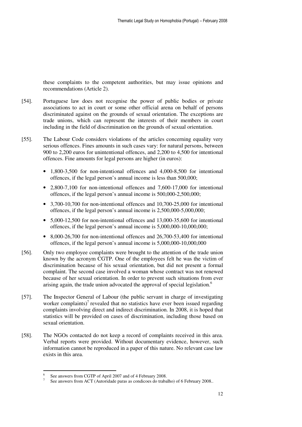these complaints to the competent authorities, but may issue opinions and recommendations (Article 2).

- [54]. Portuguese law does not recognise the power of public bodies or private associations to act in court or some other official arena on behalf of persons discriminated against on the grounds of sexual orientation. The exceptions are trade unions, which can represent the interests of their members in court including in the field of discrimination on the grounds of sexual orientation.
- [55]. The Labour Code considers violations of the articles concerning equality very serious offences. Fines amounts in such cases vary: for natural persons, between 900 to 2,200 euros for unintentional offences, and 2,200 to 4,500 for intentional offences. Fine amounts for legal persons are higher (in euros):
	- 1,800-3,500 for non-intentional offences and 4,000-8,500 for intentional offences, if the legal person's annual income is less than 500,000;
	- 2,800-7,100 for non-intentional offences and 7,600-17,000 for intentional offences, if the legal person's annual income is 500,000-2,500,000;
	- 3,700-10,700 for non-intentional offences and 10,700-25,000 for intentional offences, if the legal person's annual income is 2,500,000-5,000,000;
	- 5,000-12,500 for non-intentional offences and 13,000-35,600 for intentional offences, if the legal person's annual income is 5,000,000-10,000,000;
	- 8,000-26,700 for non-intentional offences and 26,700-53,400 for intentional offences, if the legal person's annual income is 5,000,000-10,000,000
- [56]. Only two employee complaints were brought to the attention of the trade union known by the acronym CGTP. One of the employees felt he was the victim of discrimination because of his sexual orientation, but did not present a formal complaint. The second case involved a woman whose contract was not renewed because of her sexual orientation. In order to prevent such situations from ever arising again, the trade union advocated the approval of special legislation.<sup>6</sup>
- [57]. The Inspector General of Labour (the public servant in charge of investigating worker complaints) $^7$  revealed that no statistics have ever been issued regarding complaints involving direct and indirect discrimination. In 2008, it is hoped that statistics will be provided on cases of discrimination, including those based on sexual orientation.
- [58]. The NGOs contacted do not keep a record of complaints received in this area. Verbal reports were provided. Without documentary evidence, however, such information cannot be reproduced in a paper of this nature. No relevant case law exists in this area.

<sup>6</sup> See answers from CGTP of April 2007 and of 4 February 2008.

<sup>7</sup> See answers from ACT (Autoridade paras as condicoes do trabalho) of 6 February 2008..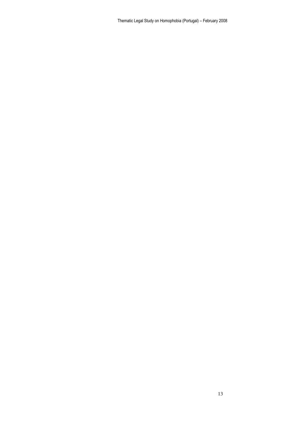Thematic Legal Study on Homophobia (Portugal) – February 2008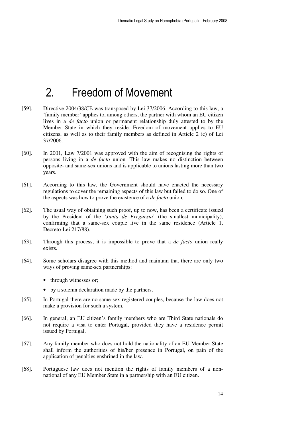## 2. Freedom of Movement

- [59]. Directive 2004/38/CE was transposed by Lei 37/2006. According to this law, a 'family member' applies to, among others, the partner with whom an EU citizen lives in a *de facto* union or permanent relationship duly attested to by the Member State in which they reside. Freedom of movement applies to EU citizens, as well as to their family members as defined in Article 2 (e) of Lei 37/2006.
- [60]. In 2001, Law 7/2001 was approved with the aim of recognising the rights of persons living in a *de facto* union*.* This law makes no distinction between opposite- and same-sex unions and is applicable to unions lasting more than two years.
- [61]. According to this law, the Government should have enacted the necessary regulations to cover the remaining aspects of this law but failed to do so. One of the aspects was how to prove the existence of a *de facto* union*.*
- [62]. The usual way of obtaining such proof, up to now, has been a certificate issued by the President of the '*Junta de Freguesia*' (the smallest municipality), confirming that a same-sex couple live in the same residence (Article 1, Decreto-Lei 217/88).
- [63]. Through this process, it is impossible to prove that a *de facto* union really exists.
- [64]. Some scholars disagree with this method and maintain that there are only two ways of proving same-sex partnerships:
	- through witnesses or;
	- by a solemn declaration made by the partners.
- [65]. In Portugal there are no same-sex registered couples, because the law does not make a provision for such a system.
- [66]. In general, an EU citizen's family members who are Third State nationals do not require a visa to enter Portugal, provided they have a residence permit issued by Portugal.
- [67]. Any family member who does not hold the nationality of an EU Member State shall inform the authorities of his/her presence in Portugal, on pain of the application of penalties enshrined in the law.
- [68]. Portuguese law does not mention the rights of family members of a nonnational of any EU Member State in a partnership with an EU citizen.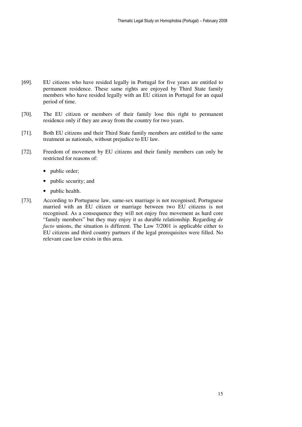- [69]. EU citizens who have resided legally in Portugal for five years are entitled to permanent residence. These same rights are enjoyed by Third State family members who have resided legally with an EU citizen in Portugal for an equal period of time.
- [70]. The EU citizen or members of their family lose this right to permanent residence only if they are away from the country for two years.
- [71]. Both EU citizens and their Third State family members are entitled to the same treatment as nationals, without prejudice to EU law.
- [72]. Freedom of movement by EU citizens and their family members can only be restricted for reasons of:
	- public order;
	- public security; and
	- public health.
- [73]. According to Portuguese law, same-sex marriage is not recognised; Portuguese married with an EU citizen or marriage between two EU citizens is not recognised. As a consequence they will not enjoy free movement as hard core "family members" but they may enjoy it as durable relationship. Regarding *de facto* unions, the situation is different. The Law 7/2001 is applicable either to EU citizens and third country partners if the legal prerequisites were filled. No relevant case law exists in this area.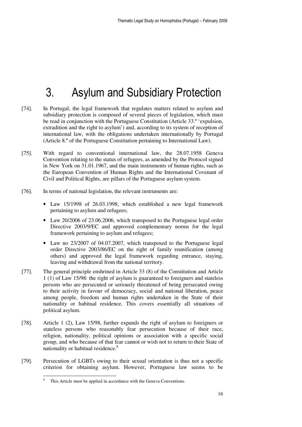# 3. Asylum and Subsidiary Protection

- [74]. In Portugal, the legal framework that regulates matters related to asylum and subsidiary protection is composed of several pieces of legislation, which must be read in conjunction with the Portuguese Constitution (Article 33.º 'expulsion, extradition and the right to asylum') and, according to its system of reception of international law, with the obligations undertaken internationally by Portugal (Article 8.º of the Portuguese Constitution pertaining to International Law).
- [75]. With regard to conventional international law, the 28.07.1958 Geneva Convention relating to the status of refugees, as amended by the Protocol signed in New York on 31.01.1967, and the main instruments of human rights, such as the European Convention of Human Rights and the International Covenant of Civil and Political Rights, are pillars of the Portuguese asylum system.
- [76]. In terms of national legislation, the relevant instruments are:
	- Law 15/1998 of 26.03.1998, which established a new legal framework pertaining to asylum and refugees;
	- Law 20/2006 of 23.06.2006, which transposed to the Portuguese legal order Directive 2003/9/EC and approved complementary norms for the legal framework pertaining to asylum and refugees;
	- Law no 23/2007 of 04.07.2007, which transposed to the Portuguese legal order Directive 2003/86/EC on the right of family reunification (among others) and approved the legal framework regarding entrance, staying, leaving and withdrawal from the national territory.
- [77]. The general principle enshrined in Article 33 (8) of the Constitution and Article 1 (1) of Law 15/98: the right of asylum is guaranteed to foreigners and stateless persons who are persecuted or seriously threatened of being persecuted owing to their activity in favour of democracy, social and national liberation, peace among people, freedom and human rights undertaken in the State of their nationality or habitual residence. This covers essentially all situations of political asylum.
- [78]. Article 1 (2), Law 15/98, further expands the right of asylum to foreigners or stateless persons who reasonably fear persecution because of their race, religion, nationality, political opinions or association with a specific social group, and who because of that fear cannot or wish not to return to their State of nationality or habitual residence.<sup>8</sup>
- [79]. Persecution of LGBTs owing to their sexual orientation is thus not a specific criterion for obtaining asylum. However, Portuguese law seems to be

 $\ddot{\phantom{a}}$ 

<sup>8</sup> This Article must be applied in accordance with the Geneva Conventions.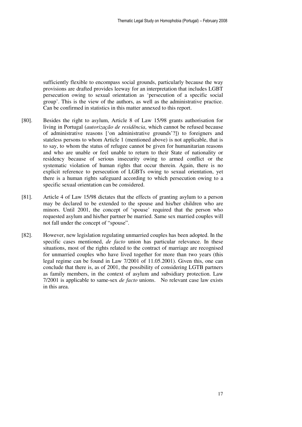sufficiently flexible to encompass social grounds, particularly because the way provisions are drafted provides leeway for an interpretation that includes LGBT persecution owing to sexual orientation as 'persecution of a specific social group'. This is the view of the authors, as well as the administrative practice. Can be confirmed in statistics in this matter annexed to this report.

- [80]. Besides the right to asylum, Article 8 of Law 15/98 grants authorisation for living in Portugal (*autorização de residência*, which cannot be refused because of administrative reasons ['on administrative grounds'?]) to foreigners and stateless persons to whom Article 1 (mentioned above) is not applicable, that is to say, to whom the status of refugee cannot be given for humanitarian reasons and who are unable or feel unable to return to their State of nationality or residency because of serious insecurity owing to armed conflict or the systematic violation of human rights that occur therein. Again, there is no explicit reference to persecution of LGBTs owing to sexual orientation, yet there is a human rights safeguard according to which persecution owing to a specific sexual orientation can be considered.
- [81]. Article 4 of Law 15/98 dictates that the effects of granting asylum to a person may be declared to be extended to the spouse and his/her children who are minors. Until 2001, the concept of 'spouse' required that the person who requested asylum and his/her partner be married. Same sex married couples will not fall under the concept of "spouse".
- [82]. However, new legislation regulating unmarried couples has been adopted. In the specific cases mentioned, *de facto* union has particular relevance. In these situations, most of the rights related to the contract of marriage are recognised for unmarried couples who have lived together for more than two years (this legal regime can be found in Law 7/2001 of 11.05.2001). Given this, one can conclude that there is, as of 2001, the possibility of considering LGTB partners as family members, in the context of asylum and subsidiary protection. Law 7/2001 is applicable to same-sex *de facto* unions. No relevant case law exists in this area.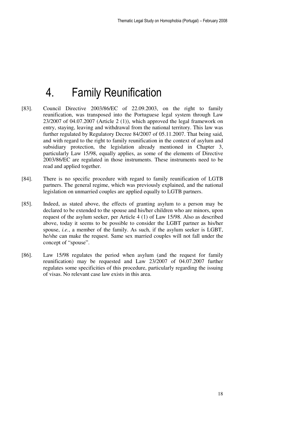# 4. Family Reunification

- [83]. Council Directive 2003/86/EC of 22.09.2003, on the right to family reunification, was transposed into the Portuguese legal system through Law 23/2007 of 04.07.2007 (Article 2 (1)), which approved the legal framework on entry, staying, leaving and withdrawal from the national territory. This law was further regulated by Regulatory Decree 84/2007 of 05.11.2007. That being said, and with regard to the right to family reunification in the context of asylum and subsidiary protection, the legislation already mentioned in Chapter 3, particularly Law 15/98, equally applies, as some of the elements of Directive 2003/86/EC are regulated in those instruments. These instruments need to be read and applied together.
- [84]. There is no specific procedure with regard to family reunification of LGTB partners. The general regime, which was previously explained, and the national legislation on unmarried couples are applied equally to LGTB partners.
- [85]. Indeed, as stated above, the effects of granting asylum to a person may be declared to be extended to the spouse and his/her children who are minors, upon request of the asylum seeker, per Article 4 (1) of Law 15/98. Also as described above, today it seems to be possible to consider the LGBT partner as his/her spouse, *i.e.*, a member of the family. As such, if the asylum seeker is LGBT, he/she can make the request. Same sex married couples will not fall under the concept of "spouse".
- [86]. Law 15/98 regulates the period when asylum (and the request for family reunification) may be requested and Law 23/2007 of 04.07.2007 further regulates some specificities of this procedure, particularly regarding the issuing of visas. No relevant case law exists in this area.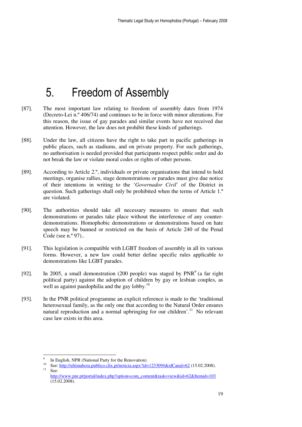## 5. Freedom of Assembly

- [87]. The most important law relating to freedom of assembly dates from 1974 (Decreto-Lei n.º 406/74) and continues to be in force with minor alterations. For this reason, the issue of gay parades and similar events have not received due attention. However, the law does not prohibit these kinds of gatherings.
- [88]. Under the law, all citizens have the right to take part in pacific gatherings in public places, such as stadiums, and on private property. For such gatherings, no authorisation is needed provided that participants respect public order and do not break the law or violate moral codes or rights of other persons.
- [89]. According to Article 2.º, individuals or private organisations that intend to hold meetings, organise rallies, stage demonstrations or parades must give due notice of their intentions in writing to the '*Governador Civil*' of the District in question. Such gatherings shall only be prohibited when the terms of Article 1.º are violated.
- [90]. The authorities should take all necessary measures to ensure that such demonstrations or parades take place without the interference of any counterdemonstrations. Homophobic demonstrations or demonstrations based on hate speech may be banned or restricted on the basis of Article 240 of the Penal Code (see n.º 97)..
- [91]. This legislation is compatible with LGBT freedom of assembly in all its various forms. However, a new law could better define specific rules applicable to demonstrations like LGBT parades.
- [92]. In 2005, a small demonstration (200 people) was staged by  $PNR<sup>9</sup>$  (a far right political party) against the adoption of children by gay or lesbian couples, as well as against paedophilia and the gay lobby.<sup>10</sup>
- [93]. In the PNR political programme an explicit reference is made to the 'traditional heterosexual family, as the only one that according to the Natural Order ensures natural reproduction and a normal upbringing for our children'.<sup>11</sup> No relevant case law exists in this area.

<sup>9</sup> <sup>9</sup> In English, NPR (National Party for the Renovation).

<sup>&</sup>lt;sup>10</sup> See: http://ultimahora.publico.clix.pt/noticia.aspx?id=1233094&idCanal=62 (15.02.2008). See:

http://www.pnr.pt/portal/index.php?option=com\_content&task=view&id=62&Itemid=103 (15.02.2008).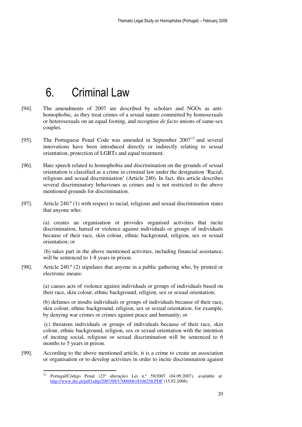## 6. Criminal Law

- [94]. The amendments of 2007 are described by scholars and NGOs as antihomophobic, as they treat crimes of a sexual nature committed by homosexuals or heterosexuals on an equal footing, and recognise *de facto* unions of same-sex couples*.*
- [95]. The Portuguese Penal Code was amended in September  $2007<sup>12</sup>$  and several innovations have been introduced directly or indirectly relating to sexual orientation, protection of LGBTs and equal treatment.
- [96]. Hate speech related to homophobia and discrimination on the grounds of sexual orientation is classified as a crime in criminal law under the designation 'Racial, religious and sexual discrimination' (Article 240). In fact, this article describes several discriminatory behaviours as crimes and is not restricted to the above mentioned grounds for discrimination.
- [97]. Article 240.º (1) with respect to racial, religious and sexual discrimination states that anyone who:

(a) creates an organisation or provides organised activities that incite discrimination, hatred or violence against individuals or groups of individuals because of their race, skin colour, ethnic background, religion, sex or sexual orientation; or

(b) takes part in the above mentioned activities, including financial assistance, will be sentenced to 1-8 years in prison.

[98]. Article 240.º (2) stipulates that anyone in a public gathering who, by printed or electronic means:

> (a) causes acts of violence against individuals or groups of individuals based on their race, skin colour, ethnic background, religion, sex or sexual orientation;

> (b) defames or insults individuals or groups of individuals because of their race, skin colour, ethnic background, religion, sex or sexual orientation, for example, by denying war crimes or crimes against peace and humanity; or

> (c) threatens individuals or groups of individuals because of their race, skin colour, ethnic background, religion, sex or sexual orientation with the intention of inciting social, religious or sexual discrimination will be sentenced to 6 months to 5 years in prison.

[99]. According to the above mentioned article, it is a crime to create an association or organisation or to develop activities in order to incite discrimination against

<sup>12</sup> Portugal/Código Penal (23ª alteração) Lei n.º 59/2007 (04.09.2007), available at: http://www.dre.pt/pdf1sdip/2007/09/17000/0618106258.PDF (15.02.2008).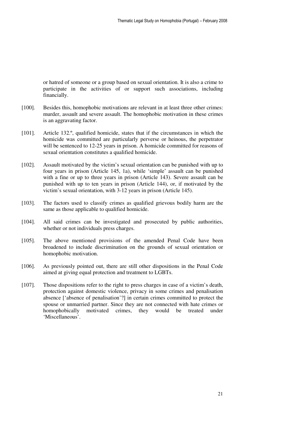or hatred of someone or a group based on sexual orientation. It is also a crime to participate in the activities of or support such associations, including financially.

- [100]. Besides this, homophobic motivations are relevant in at least three other crimes: murder, assault and severe assault. The homophobic motivation in these crimes is an aggravating factor.
- [101]. Article 132.º, qualified homicide, states that if the circumstances in which the homicide was committed are particularly perverse or heinous, the perpetrator will be sentenced to 12-25 years in prison. A homicide committed for reasons of sexual orientation constitutes a qualified homicide.
- [102]. Assault motivated by the victim's sexual orientation can be punished with up to four years in prison (Article 145, 1a), while 'simple' assault can be punished with a fine or up to three years in prison (Article 143). Severe assault can be punished with up to ten years in prison (Article 144), or, if motivated by the victim's sexual orientation, with 3-12 years in prison (Article 145).
- [103]. The factors used to classify crimes as qualified grievous bodily harm are the same as those applicable to qualified homicide.
- [104]. All said crimes can be investigated and prosecuted by public authorities, whether or not individuals press charges.
- [105]. The above mentioned provisions of the amended Penal Code have been broadened to include discrimination on the grounds of sexual orientation or homophobic motivation.
- [106]. As previously pointed out, there are still other dispositions in the Penal Code aimed at giving equal protection and treatment to LGBTs.
- [107]. Those dispositions refer to the right to press charges in case of a victim's death, protection against domestic violence, privacy in some crimes and penalisation absence ['absence of penalisation'?] in certain crimes committed to protect the spouse or unmarried partner. Since they are not connected with hate crimes or homophobically motivated crimes, they would be treated under 'Miscellaneous'.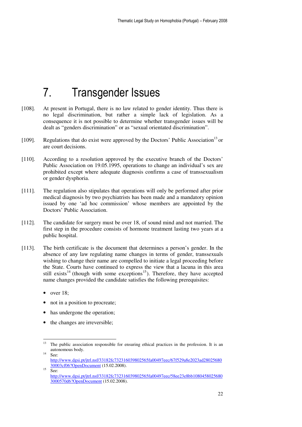## 7. Transgender Issues

- [108]. At present in Portugal, there is no law related to gender identity. Thus there is no legal discrimination, but rather a simple lack of legislation. As a consequence it is not possible to determine whether transgender issues will be dealt as "genders discrimination" or as "sexual orientated discrimination".
- [109]. Regulations that do exist were approved by the Doctors' Public Association<sup>13</sup> or are court decisions.
- [110]. According to a resolution approved by the executive branch of the Doctors' Public Association on 19.05.1995, operations to change an individual's sex are prohibited except where adequate diagnosis confirms a case of transsexualism or gender dysphoria.
- [111]. The regulation also stipulates that operations will only be performed after prior medical diagnosis by two psychiatrists has been made and a mandatory opinion issued by one 'ad hoc commission' whose members are appointed by the Doctors' Public Association.
- [112]. The candidate for surgery must be over 18, of sound mind and not married. The first step in the procedure consists of hormone treatment lasting two years at a public hospital.
- [113]. The birth certificate is the document that determines a person's gender. In the absence of any law regulating name changes in terms of gender, transsexuals wishing to change their name are compelled to initiate a legal proceeding before the State. Courts have continued to express the view that a lacuna in this area still exists<sup>14</sup> (though with some exceptions<sup>15</sup>). Therefore, they have accepted name changes provided the candidate satisfies the following prerequisites:
	- over 18;
	- not in a position to procreate;
	- has undergone the operation;
	- the changes are irreversible;

<sup>13</sup> The public association responsible for ensuring ethical practices in the profession. It is an autonomous body.  $14 \tSee$ 

http://www.dgsi.pt/jtrl.nsf/33182fc732316039802565fa00497eec/67f529a8e2023ad28025680 30003cf06?OpenDocument (15.02.2008).

 $15$  See: http://www.dgsi.pt/jtrl.nsf/33182fc732316039802565fa00497eec/58ee23e8bb1080458025680 3000570d6?OpenDocument (15.02.2008).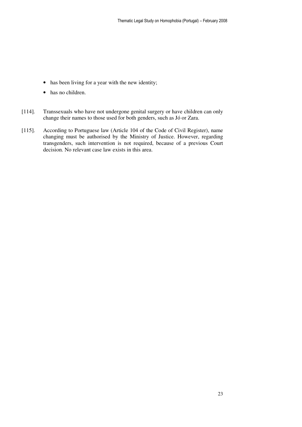- has been living for a year with the new identity;
- has no children.
- [114]. Transsexuals who have not undergone genital surgery or have children can only change their names to those used for both genders, such as Jó or Zara.
- [115]. According to Portuguese law (Article 104 of the Code of Civil Register), name changing must be authorised by the Ministry of Justice. However, regarding transgenders, such intervention is not required, because of a previous Court decision. No relevant case law exists in this area.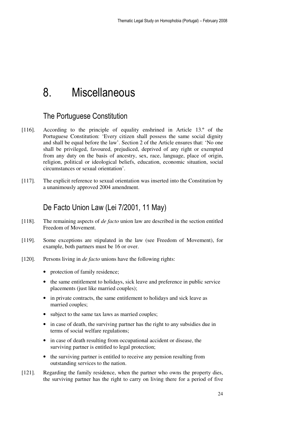## 8. Miscellaneous

#### The Portuguese Constitution

- [116]. According to the principle of equality enshrined in Article 13.º of the Portuguese Constitution: 'Every citizen shall possess the same social dignity and shall be equal before the law'. Section 2 of the Article ensures that: 'No one shall be privileged, favoured, prejudiced, deprived of any right or exempted from any duty on the basis of ancestry, sex, race, language, place of origin, religion, political or ideological beliefs, education, economic situation, social circumstances or sexual orientation'.
- [117]. The explicit reference to sexual orientation was inserted into the Constitution by a unanimously approved 2004 amendment.

#### De Facto Union Law (Lei 7/2001, 11 May)

- [118]. The remaining aspects of *de facto* union law are described in the section entitled Freedom of Movement.
- [119]. Some exceptions are stipulated in the law (see Freedom of Movement), for example, both partners must be 16 or over.
- [120]. Persons living in *de facto* unions have the following rights:
	- protection of family residence;
	- the same entitlement to holidays, sick leave and preference in public service placements (just like married couples);
	- in private contracts, the same entitlement to holidays and sick leave as married couples;
	- subject to the same tax laws as married couples;
	- in case of death, the surviving partner has the right to any subsidies due in terms of social welfare regulations;
	- in case of death resulting from occupational accident or disease, the surviving partner is entitled to legal protection;
	- the surviving partner is entitled to receive any pension resulting from outstanding services to the nation.
- [121]. Regarding the family residence, when the partner who owns the property dies, the surviving partner has the right to carry on living there for a period of five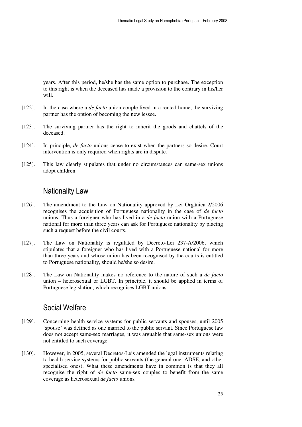years. After this period, he/she has the same option to purchase. The exception to this right is when the deceased has made a provision to the contrary in his/her will.

- [122]. In the case where a *de facto* union couple lived in a rented home, the surviving partner has the option of becoming the new lessee.
- [123]. The surviving partner has the right to inherit the goods and chattels of the deceased.
- [124]. In principle, *de facto* unions cease to exist when the partners so desire. Court intervention is only required when rights are in dispute.
- [125]. This law clearly stipulates that under no circumstances can same-sex unions adopt children.

#### Nationality Law

- [126]. The amendment to the Law on Nationality approved by Lei Orgânica 2/2006 recognises the acquisition of Portuguese nationality in the case of *de facto*  unions. Thus a foreigner who has lived in a *de facto* union with a Portuguese national for more than three years can ask for Portuguese nationality by placing such a request before the civil courts.
- [127]. The Law on Nationality is regulated by Decreto-Lei 237-A/2006, which stipulates that a foreigner who has lived with a Portuguese national for more than three years and whose union has been recognised by the courts is entitled to Portuguese nationality, should he/she so desire.
- [128]. The Law on Nationality makes no reference to the nature of such a *de facto*  union – heterosexual or LGBT. In principle, it should be applied in terms of Portuguese legislation, which recognises LGBT unions.

#### Social Welfare

- [129]. Concerning health service systems for public servants and spouses, until 2005 'spouse' was defined as one married to the public servant. Since Portuguese law does not accept same-sex marriages, it was arguable that same-sex unions were not entitled to such coverage.
- [130]. However, in 2005, several Decretos-Leis amended the legal instruments relating to health service systems for public servants (the general one, ADSE, and other specialised ones). What these amendments have in common is that they all recognise the right of *de facto* same-sex couples to benefit from the same coverage as heterosexual *de facto* unions*.*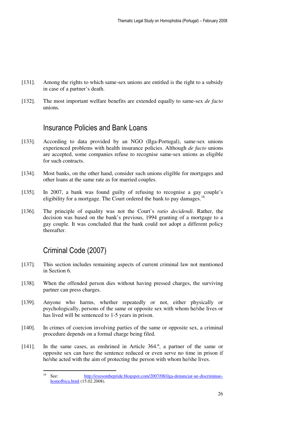- [131]. Among the rights to which same-sex unions are entitled is the right to a subsidy in case of a partner's death.
- [132]. The most important welfare benefits are extended equally to same-sex *de facto*  unions*.*

#### Insurance Policies and Bank Loans

- [133]. According to data provided by an NGO (Ilga-Portugal), same-sex unions experienced problems with health insurance policies. Although *de facto* unions are accepted, some companies refuse to recognise same-sex unions as eligible for such contracts.
- [134]. Most banks, on the other hand, consider such unions eligible for mortgages and other loans at the same rate as for married couples.
- [135]. In 2007, a bank was found guilty of refusing to recognise a gay couple's eligibility for a mortgage. The Court ordered the bank to pay damages.<sup>16</sup>
- [136]. The principle of equality was not the Court's *ratio decidendi*. Rather, the decision was based on the bank's previous, 1994 granting of a mortgage to a gay couple. It was concluded that the bank could not adopt a different policy thereafter.

### Criminal Code (2007)

- [137]. This section includes remaining aspects of current criminal law not mentioned in Section 6.
- [138]. When the offended person dies without having pressed charges, the surviving partner can press charges.
- [139]. Anyone who harms, whether repeatedly or not, either physically or psychologically, persons of the same or opposite sex with whom he/she lives or has lived will be sentenced to 1-5 years in prison.
- [140]. In crimes of coercion involving parties of the same or opposite sex, a criminal procedure depends on a formal charge being filed.
- [141]. In the same cases, as enshrined in Article 364.º, a partner of the same or opposite sex can have the sentence reduced or even serve no time in prison if he/she acted with the aim of protecting the person with whom he/she lives.

 $\overline{a}$ <sup>16</sup> See: http://eyesonthepride.blogspot.com/2007/08/ilga-denunciar-ue-discriminaohomofbica.html (15.02.2008).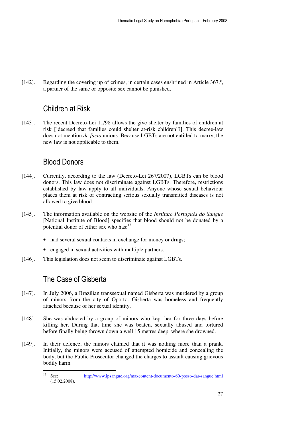[142]. Regarding the covering up of crimes, in certain cases enshrined in Article 367.º, a partner of the same or opposite sex cannot be punished.

#### Children at Risk

[143]. The recent Decreto-Lei 11/98 allows the give shelter by families of children at risk ['decreed that families could shelter at-risk children'?]. This decree-law does not mention *de facto* unions*.* Because LGBTs are not entitled to marry, the new law is not applicable to them.

#### Blood Donors

- [144]. Currently, according to the law (Decreto-Lei 267/2007), LGBTs can be blood donors. This law does not discriminate against LGBTs. Therefore, restrictions established by law apply to all individuals. Anyone whose sexual behaviour places them at risk of contracting serious sexually transmitted diseases is not allowed to give blood.
- [145]. The information available on the website of the *Instituto Português do Sangue* [National Institute of Blood] specifies that blood should not be donated by a potential donor of either sex who has:<sup>17</sup>
	- had several sexual contacts in exchange for money or drugs;
	- engaged in sexual activities with multiple partners.
- [146]. This legislation does not seem to discriminate against LGBTs.

#### The Case of Gisberta

- [147]. In July 2006, a Brazilian transsexual named Gisberta was murdered by a group of minors from the city of Oporto. Gisberta was homeless and frequently attacked because of her sexual identity.
- [148]. She was abducted by a group of minors who kept her for three days before killing her. During that time she was beaten, sexually abused and tortured before finally being thrown down a well 15 metres deep, where she drowned.
- [149]. In their defence, the minors claimed that it was nothing more than a prank. Initially, the minors were accused of attempted homicide and concealing the body, but the Public Prosecutor changed the charges to assault causing grievous bodily harm.

 $17$ <sup>17</sup> See: http://www.ipsangue.org/maxcontent-documento-60-posso-dar-sangue.html (15.02.2008).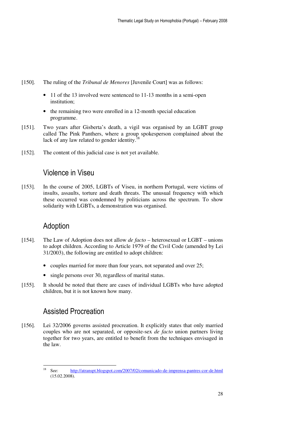- [150]. The ruling of the *Tribunal de Menores* [Juvenile Court] was as follows:
	- 11 of the 13 involved were sentenced to 11-13 months in a semi-open institution;
	- the remaining two were enrolled in a 12-month special education programme.
- [151]. Two years after Gisberta's death, a vigil was organised by an LGBT group called The Pink Panthers, where a group spokesperson complained about the lack of any law related to gender identity.
- [152]. The content of this judicial case is not yet available.

#### Violence in Viseu

[153]. In the course of 2005, LGBTs of Viseu, in northern Portugal, were victims of insults, assaults, torture and death threats. The unusual frequency with which these occurred was condemned by politicians across the spectrum. To show solidarity with LGBTs, a demonstration was organised.

#### Adoption

- [154]. The Law of Adoption does not allow *de facto* heterosexual or LGBT unions to adopt children. According to Article 1979 of the Civil Code (amended by Lei 31/2003), the following are entitled to adopt children:
	- couples married for more than four years, not separated and over 25;
	- single persons over 30, regardless of marital status.
- [155]. It should be noted that there are cases of individual LGBTs who have adopted children, but it is not known how many.

#### Assisted Procreation

[156]. Lei 32/2006 governs assisted procreation. It explicitly states that only married couples who are not separated, or opposite-sex *de facto* union partners living together for two years, are entitled to benefit from the techniques envisaged in the law.

<sup>18</sup> <sup>18</sup> See: http://atranspt.blogspot.com/2007/02/comunicado-de-imprensa-pantres-cor-de.html (15.02.2008).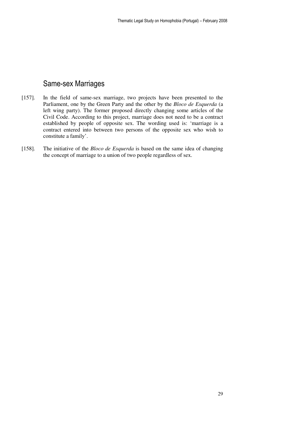#### Same-sex Marriages

- [157]. In the field of same-sex marriage, two projects have been presented to the Parliament, one by the Green Party and the other by the *Bloco de Esquerda* (a left wing party). The former proposed directly changing some articles of the Civil Code. According to this project, marriage does not need to be a contract established by people of opposite sex. The wording used is: 'marriage is a contract entered into between two persons of the opposite sex who wish to constitute a family'.
- [158]. The initiative of the *Bloco de Esquerda* is based on the same idea of changing the concept of marriage to a union of two people regardless of sex.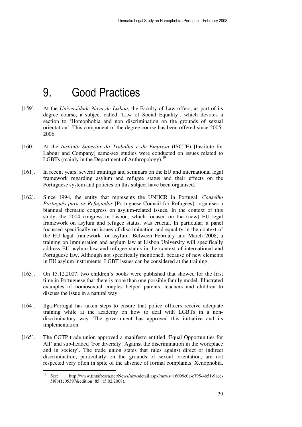# 9. Good Practices

- [159]. At the *Universidade Nova de Lisboa*, the Faculty of Law offers, as part of its degree course, a subject called 'Law of Social Equality', which devotes a section to 'Homophobia and non discrimination on the grounds of sexual orientation'. This component of the degree course has been offered since 2005- 2006.
- [160]. At the *Instituto Superior do Trabalho e da Empresa* (ISCTE) [Institute for Labour and Company] same-sex studies were conducted on issues related to LGBTs (mainly in the Department of Anthropology).<sup>19</sup>
- [161]. In recent years, several trainings and seminars on the EU and international legal framework regarding asylum and refugee status and their effects on the Portuguese system and policies on this subject have been organised.
- [162]. Since 1994, the entity that represents the UNHCR in Portugal, *Conselho Português para os Refugiados* [Portuguese Council for Refugees], organises a biannual thematic congress on asylum-related issues. In the context of this study, the 2004 congress in Lisbon, which focused on the (new) EU legal framework on asylum and refugee status, was crucial. In particular, a panel focussed specifically on issues of discrimination and equality in the context of the EU legal framework for asylum. Between February and March 2008, a training on immigration and asylum law at Lisbon University will specifically address EU asylum law and refugee status in the context of international and Portuguese law. Although not specifically mentioned, because of new elements in EU asylum instruments, LGBT issues can be considered at the training.
- [163]. On 15.12.2007, two children's books were published that showed for the first time in Portuguese that there is more than one possible family model. Illustrated examples of homosexual couples helped parents, teachers and children to discuss the issue in a natural way.
- [164]. Ilga-Portugal has taken steps to ensure that police officers receive adequate training while at the academy on how to deal with LGBTs in a nondiscriminatory way. The government has approved this initiative and its implementation.
- [165]. The CGTP trade union approved a manifesto entitled 'Equal Opportunities for All' and sub-headed 'For diversity! Against the discrimination in the workplace and in society'. The trade union states that rules against direct or indirect discrimination, particularly on the grounds of sexual orientation, are not respected very often in spite of the absence of formal complaints. Xenophobia,

<sup>19</sup> See: http://www.tintafresca.net/News/newsdetail.aspx?news=16099e0a-e795-4b51-9ace- 5f8bf1c05397&edition=85 (15.02.2008).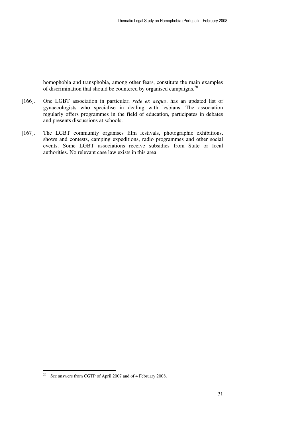homophobia and transphobia, among other fears, constitute the main examples of discrimination that should be countered by organised campaigns.<sup>20</sup>

- [166]. One LGBT association in particular, *rede ex aequo*, has an updated list of gynaecologists who specialise in dealing with lesbians. The association regularly offers programmes in the field of education, participates in debates and presents discussions at schools.
- [167]. The LGBT community organises film festivals, photographic exhibitions, shows and contests, camping expeditions, radio programmes and other social events. Some LGBT associations receive subsidies from State or local authorities. No relevant case law exists in this area.

 $20\,$ See answers from CGTP of April 2007 and of 4 February 2008.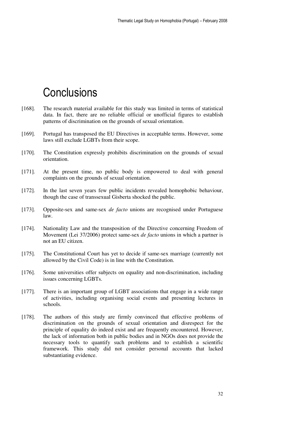## **Conclusions**

- [168]. The research material available for this study was limited in terms of statistical data. In fact, there are no reliable official or unofficial figures to establish patterns of discrimination on the grounds of sexual orientation.
- [169]. Portugal has transposed the EU Directives in acceptable terms. However, some laws still exclude LGBTs from their scope.
- [170]. The Constitution expressly prohibits discrimination on the grounds of sexual orientation.
- [171]. At the present time, no public body is empowered to deal with general complaints on the grounds of sexual orientation.
- [172]. In the last seven years few public incidents revealed homophobic behaviour, though the case of transsexual Gisberta shocked the public.
- [173]. Opposite-sex and same-sex *de facto* unions are recognised under Portuguese law.
- [174]. Nationality Law and the transposition of the Directive concerning Freedom of Movement (Lei 37/2006) protect same-sex *de facto* unions in which a partner is not an EU citizen.
- [175]. The Constitutional Court has yet to decide if same-sex marriage (currently not allowed by the Civil Code) is in line with the Constitution.
- [176]. Some universities offer subjects on equality and non-discrimination, including issues concerning LGBTs.
- [177]. There is an important group of LGBT associations that engage in a wide range of activities, including organising social events and presenting lectures in schools.
- [178]. The authors of this study are firmly convinced that effective problems of discrimination on the grounds of sexual orientation and disrespect for the principle of equality do indeed exist and are frequently encountered. However, the lack of information both in public bodies and in NGOs does not provide the necessary tools to quantify such problems and to establish a scientific framework. This study did not consider personal accounts that lacked substantiating evidence.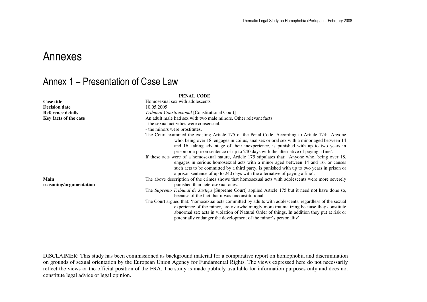## Annexes

### Annex 1 – Presentation of Case Law

|                         | PENAL CODE                                                                                                                                                                                                                                                                                                                                                                   |
|-------------------------|------------------------------------------------------------------------------------------------------------------------------------------------------------------------------------------------------------------------------------------------------------------------------------------------------------------------------------------------------------------------------|
| <b>Case title</b>       | Homosexual sex with adolescents                                                                                                                                                                                                                                                                                                                                              |
| <b>Decision date</b>    | 10.05.2005                                                                                                                                                                                                                                                                                                                                                                   |
| Reference details       | Tribunal Constitucional [Constitutional Court]                                                                                                                                                                                                                                                                                                                               |
| Key facts of the case   | An adult male had sex with two male minors. Other relevant facts:                                                                                                                                                                                                                                                                                                            |
|                         | - the sexual activities were consensual;                                                                                                                                                                                                                                                                                                                                     |
|                         | - the minors were prostitutes.                                                                                                                                                                                                                                                                                                                                               |
|                         | The Court examined the existing Article 175 of the Penal Code. According to Article 174: 'Anyone<br>who, being over 18, engages in coitus, anal sex or oral sex with a minor aged between 14<br>and 16, taking advantage of their inexperience, is punished with up to two years in<br>prison or a prison sentence of up to 240 days with the alternative of paying a fine'. |
|                         | If these acts were of a homosexual nature, Article 175 stipulates that: 'Anyone who, being over 18,<br>engages in serious homosexual acts with a minor aged between 14 and 16, or causes<br>such acts to be committed by a third party, is punished with up to two years in prison or<br>a prison sentence of up to 240 days with the alternative of paying a fine'.         |
| Main                    | The above description of the crimes shows that homosexual acts with adolescents were more severely                                                                                                                                                                                                                                                                           |
| reasoning/argumentation | punished than heterosexual ones.                                                                                                                                                                                                                                                                                                                                             |
|                         | The Supremo Tribunal de Justiça [Supreme Court] applied Article 175 but it need not have done so,<br>because of the fact that it was unconstitutional.                                                                                                                                                                                                                       |
|                         | The Court argued that: 'homosexual acts committed by adults with adolescents, regardless of the sexual<br>experience of the minor, are overwhelmingly more traumatizing because they constitute<br>abnormal sex acts in violation of Natural Order of things. In addition they put at risk or<br>potentially endanger the development of the minor's personality'.           |

**PENAL CODE** 

DISCLAIMER: This study has been commissioned as background material for a comparative report on homophobia and discrimination on grounds of sexual orientation by the European Union Agency for Fundamental Rights. The views expressed here do not necessarily reflect the views or the official position of the FRA. The study is made publicly available for information purposes only and does not constitute legal advice or legal opinion.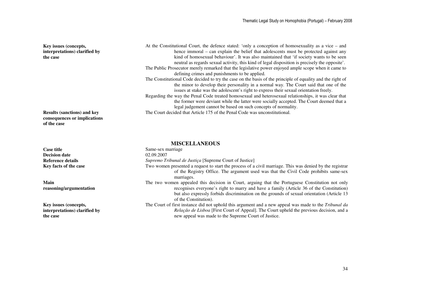**Key issues (concepts, interpretations) clarified by the case** 

**Results (sanctions) and key consequences or implications of the case** 

**Decision date** 02.09.2007

**Main reasoning/argumentation** 

**Key issues (concepts, interpretations) clarified by the case** 

At the Constitutional Court, the defence stated: 'only a conception of homosexuality as a vice – and hence immoral – can explain the belief that adolescents must be protected against any kind of homosexual behaviour'. It was also maintained that 'if society wants to be seen neutral as regards sexual activity, this kind of legal disposition is precisely the opposite'. The Public Prosecutor merely remarked that the legislative power enjoyed ample scope when it came to defining crimes and punishments to be applied. The Constitutional Code decided to try the case on the basis of the principle of equality and the right of the minor to develop their personality in a normal way. The Court said that one of the issues at stake was the adolescent's right to express their sexual orientation freely. Regarding the way the Penal Code treated homosexual and heterosexual relationships, it was clear that the former were deviant while the latter were socially accepted. The Court deemed that a legal judgement cannot be based on such concepts of normality. The Court decided that Article 175 of the Penal Code was unconstitutional.

#### **MISCELLANEOUS**

**Case title Same-sex marriage Same-sex marriage Same-sex marriage Same-sex marriage Same-sex marriage Same-sex marriage Same-sex marriage Same-sex marriage Same-sex marriage Same-sex marriage Same-sex marriage Same-sex mar Reference details** *Supremo Tribunal de Justiça* [Supreme Court of Justice] **Key facts of the case** Two women presented a request to start the process of a civil marriage. This was denied by the registrar Two women presented a request to start the process of a civil marriage. This was denied by th of the Registry Office. The argument used was that the Civil Code prohibits same-sex marriages. The two women appealed this decision in Court, arguing that the Portuguese Constitution not only recognises everyone's right to marry and have a family (Article 36 of the Constitution) but also expressly forbids discrimination on the grounds of sexual orientation (Article 13 of the Constitution). The Court of first instance did not uphold this argument and a new appeal was made to the *Tribunal da Relação de Lisboa* [First Court of Appeal]. The Court upheld the previous decision, and a new appeal was made to the Supreme Court of Justice.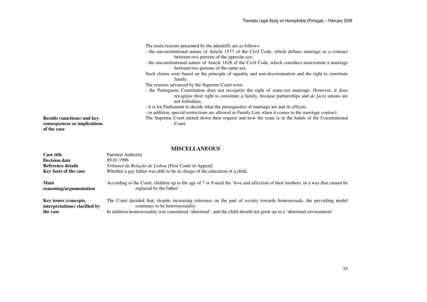The main reasons presented by the plaintiffs are as follows: - the unconstitutional nature of Article 1577 of the Civil Code, which defines marriage as a contract between two persons of the opposite sex; - the unconstitutional nature of Article 1628 of the Civil Code, which considers nonexistent a marriage between two persons of the same sex. Such claims were based on the principle of equality and non-discrimination and the right to constitutefamily. The reasons advanced by the Supreme Court were: - the Portuguese Constitution does not recognise the right of same-sex marriage. However, it does recognise their right to constitute a family, because partnerships and *de facto* unions are not forbidden; - it is for Parliament to decide what the prerequisites of marriage are and its effects; - in addition, special restrictions are allowed in Family Law when it comes to the marriage contract. The Supreme Court turned down their request and now the issue is in the hands of the Constitutional **Results (sanctions) and key consequences or implications of the case** Court.

#### **MISCELLANEOUS**

| <b>Case title</b>                                                  | Parental Authority                                                                                                                                                                                                                                                              |
|--------------------------------------------------------------------|---------------------------------------------------------------------------------------------------------------------------------------------------------------------------------------------------------------------------------------------------------------------------------|
| <b>Decision date</b>                                               | 09.01.1996                                                                                                                                                                                                                                                                      |
| Reference details                                                  | Tribunal da Relação de Lisboa [First Court of Appeal]                                                                                                                                                                                                                           |
| Key facts of the case                                              | Whether a gay father was able to be in charge of the education of a child.                                                                                                                                                                                                      |
| Main<br>reasoning/argumentation                                    | According to the Court, children up to the age of 7 or 8 need the 'love and affection of their mothers, in a way that cannot be<br>replaced by the father'.                                                                                                                     |
| Key issues (concepts,<br>interpretations) clarified by<br>the case | The Court decided that, despite increasing tolerance on the part of society towards homosexuals, the prevailing model<br>continues to be heterosexuality.<br>In addition homosexuality was considered 'abnormal', and the child should not grow up in a 'abnormal environment'. |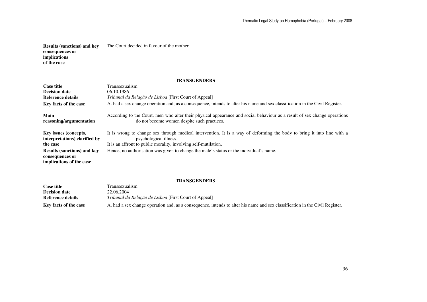**Results (sanctions) and key** The Court decided in favour of the mother. **consequences or implications of the case** 

#### **TRANSGENDERS**

| Case title                                                                        | Transsexualism                                                                                                                                                                                                      |
|-----------------------------------------------------------------------------------|---------------------------------------------------------------------------------------------------------------------------------------------------------------------------------------------------------------------|
| <b>Decision date</b>                                                              | 06.10.1986                                                                                                                                                                                                          |
| Reference details                                                                 | <i>Tribunal da Relação de Lisboa</i> [First Court of Appeal]                                                                                                                                                        |
| Key facts of the case                                                             | A. had a sex change operation and, as a consequence, intends to alter his name and sex classification in the Civil Register.                                                                                        |
| Main<br>reasoning/argumentation                                                   | According to the Court, men who alter their physical appearance and social behaviour as a result of sex change operations<br>do not become women despite such practices.                                            |
| Key issues (concepts,<br>interpretations) clarified by<br>the case                | It is wrong to change sex through medical intervention. It is a way of deforming the body to bring it into line with a<br>psychological illness.<br>It is an affront to public morality, involving self-mutilation. |
| <b>Results (sanctions) and key</b><br>consequences or<br>implications of the case | Hence, no authorisation was given to change the male's status or the individual's name.                                                                                                                             |

#### **TRANSGENDERS**

| <b>Case title</b>     | Transsexualism                                                                                                               |
|-----------------------|------------------------------------------------------------------------------------------------------------------------------|
| <b>Decision date</b>  | 22.06.2004                                                                                                                   |
| Reference details     | <i>Tribunal da Relação de Lisboa</i> [First Court of Appeal]                                                                 |
| Key facts of the case | A, had a sex change operation and, as a consequence, intends to alter his name and sex classification in the Civil Register. |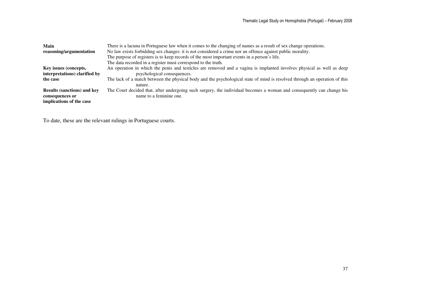| Main                               | There is a lacuna in Portuguese law when it comes to the changing of names as a result of sex change operations.                      |
|------------------------------------|---------------------------------------------------------------------------------------------------------------------------------------|
| reasoning/argumentation            | No law exists forbidding sex changes: it is not considered a crime nor an offence against public morality.                            |
|                                    | The purpose of registers is to keep records of the most important events in a person's life.                                          |
|                                    | The data recorded in a register must correspond to the truth.                                                                         |
| Key issues (concepts,              | An operation in which the penis and testicles are removed and a vagina is implanted involves physical as well as deep                 |
| interpretations) clarified by      | psychological consequences.                                                                                                           |
| the case                           | The lack of a match between the physical body and the psychological state of mind is resolved through an operation of this<br>nature. |
| <b>Results (sanctions) and key</b> | The Court decided that, after undergoing such surgery, the individual becomes a woman and consequently can change his                 |
| consequences or                    | name to a feminine one.                                                                                                               |
| implications of the case           |                                                                                                                                       |
|                                    |                                                                                                                                       |

To date, these are the relevant rulings in Portuguese courts.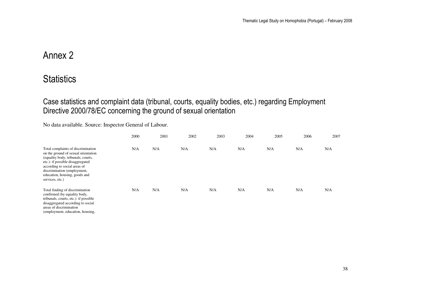### Annex 2

### **Statistics**

#### Case statistics and complaint data (tribunal, courts, equality bodies, etc.) regarding Employment Directive 2000/78/EC concerning the ground of sexual orientation

No data available. Source: Inspector General of Labour.

|                                                                                                                                                                                                                                                                        | 2000 | 2001 | 2002 | 2003 | 2004 | 2005 | 2006 | 2007 |
|------------------------------------------------------------------------------------------------------------------------------------------------------------------------------------------------------------------------------------------------------------------------|------|------|------|------|------|------|------|------|
| Total complaints of discrimination<br>on the ground of sexual orientation<br>(equality body, tribunals, courts,<br>etc.): if possible disaggregated<br>according to social areas of<br>discrimination (employment,<br>education, housing, goods and<br>services, etc.) | N/A  | N/A  | N/A  | N/A  | N/A  | N/A  | N/A  | N/A  |
| Total finding of discrimination<br>confirmed (by equality body,<br>tribunals, courts, etc.): if possible<br>disaggregated according to social<br>areas of discrimination<br>(employment, education, housing,                                                           | N/A  | N/A  | N/A  | N/A  | N/A  | N/A  | N/A  | N/A  |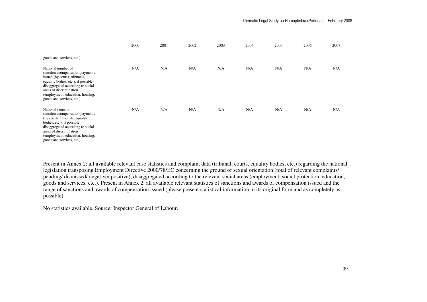|                                                                                                                                                                                                                                                                | 2000 | 2001 | 2002 | 2003 | 2004 | 2005 | 2006 | 2007 |
|----------------------------------------------------------------------------------------------------------------------------------------------------------------------------------------------------------------------------------------------------------------|------|------|------|------|------|------|------|------|
| goods and services, etc.)                                                                                                                                                                                                                                      |      |      |      |      |      |      |      |      |
| National number of<br>sanctions/compensation payments<br>issued (by courts, tribunals,<br>equality bodies, etc.): if possible<br>disaggregated according to social<br>areas of discrimination<br>(employment, education, housing,<br>goods and services, etc.) | N/A  | N/A  | N/A  | N/A  | N/A  | N/A  | N/A  | N/A  |
| National range of<br>sanctions/compensation payments<br>(by courts, tribunals, equality)<br>bodies, etc.): if possible<br>disaggregated according to social<br>areas of discrimination<br>(employment, education, housing,<br>goods and services, etc.)        | N/A  | N/A  | N/A  | N/A  | N/A  | N/A  | N/A  | N/A  |

Present in Annex 2: all available relevant case statistics and complaint data (tribunal, courts, equality bodies, etc.) regarding the national legislation transposing Employment Directive 2000/78/EC concerning the ground of sexual orientation (total of relevant complaints/ pending/ dismissed/ negative/ positive), disaggregated according to the relevant social areas (employment, social protection, education, goods and services, etc.). Present in Annex 2: all available relevant statistics of sanctions and awards of compensation issued and the range of sanctions and awards of compensation issued (please present statistical information in its original form and as completely as possible).

No statistics available. Source: Inspector General of Labour.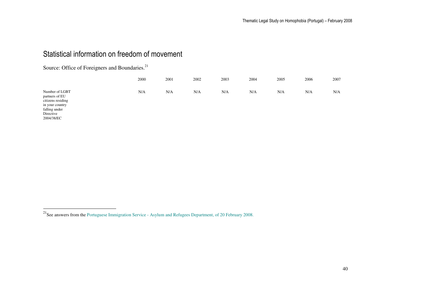### Statistical information on freedom of movement

#### Source: Office of Foreigners and Boundaries.<sup>21</sup>

|                                                                                                                      | 2000 | 2001 | 2002 | 2003 | 2004 | 2005 | 2006 | 2007 |
|----------------------------------------------------------------------------------------------------------------------|------|------|------|------|------|------|------|------|
| Number of LGBT<br>partners of EU<br>citizens residing<br>in your country<br>falling under<br>Directive<br>2004/38/EC | N/A  | N/A  | N/A  | N/A  | N/A  | N/A  | N/A  | N/A  |

<sup>21</sup>See answers from the Portuguese Immigration Service - Asylum and Refugees Department, of 20 February 2008.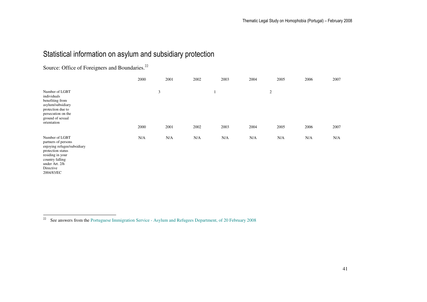### Statistical information on asylum and subsidiary protection

#### Source: Office of Foreigners and Boundaries.<sup>22</sup>

|                                                                                                                                                                               | 2000      | 2001 | 2002                 | 2003 | 2004                   | 2005 | 2006 | 2007 |
|-------------------------------------------------------------------------------------------------------------------------------------------------------------------------------|-----------|------|----------------------|------|------------------------|------|------|------|
| Number of LGBT<br>individuals<br>benefiting from<br>asylum/subsidiary<br>protection due to<br>persecution on the<br>ground of sexual<br>orientation                           | 3<br>2000 | 2001 | $\mathbf{I}$<br>2002 | 2003 | $\overline{c}$<br>2004 | 2005 | 2006 | 2007 |
| Number of LGBT<br>partners of persons<br>enjoying refugee/subsidiary<br>protection status<br>residing in your<br>country falling<br>under Art. 2/h<br>Directive<br>2004/83/EC | N/A       | N/A  | N/A                  | N/A  | N/A                    | N/A  | N/A  | N/A  |

<sup>&</sup>lt;sup>22</sup> See answers from the Portuguese Immigration Service - Asylum and Refugees Department, of 20 February 2008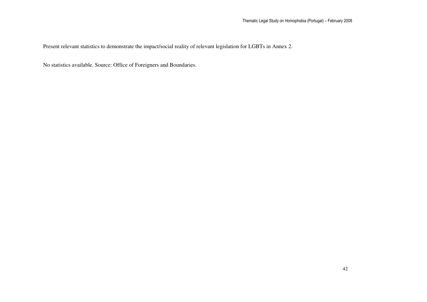Present relevant statistics to demonstrate the impact/social reality of relevant legislation for LGBTs in Annex 2.

No statistics available. Source: Office of Foreigners and Boundaries.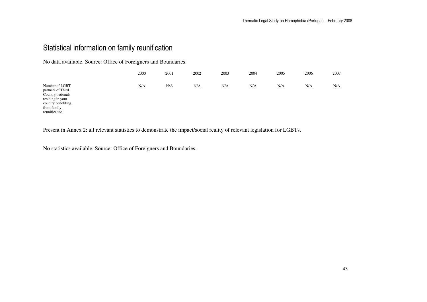### Statistical information on family reunification

No data available. Source: Office of Foreigners and Boundaries.

|                                                                                                                                    | 2000 | 2001 | 2002 | 2003 | 2004 | 2005 | 2006 | 2007 |
|------------------------------------------------------------------------------------------------------------------------------------|------|------|------|------|------|------|------|------|
| Number of LGBT<br>partners of Third<br>Country nationals<br>residing in your<br>country benefiting<br>from family<br>reunification | N/A  | N/A  | N/A  | N/A  | N/A  | N/A  | N/A  | N/A  |

Present in Annex 2: all relevant statistics to demonstrate the impact/social reality of relevant legislation for LGBTs.

No statistics available. Source: Office of Foreigners and Boundaries.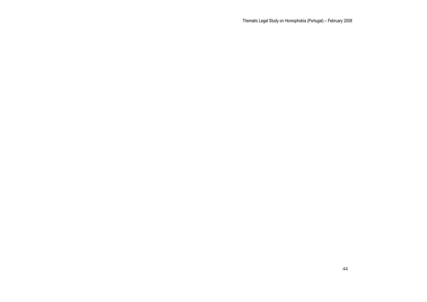Thematic Legal Study on Homophobia (Portugal) – February 2008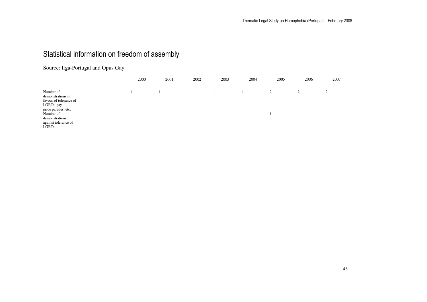### Statistical information on freedom of assembly

Source: Ilga-Portugal and Opus Gay.

|                        | 2000 | 2001         | 2002 | 2003 | 2004 | 2005           | 2006 | 2007               |
|------------------------|------|--------------|------|------|------|----------------|------|--------------------|
|                        |      |              |      |      |      |                |      |                    |
| Number of              |      | $\mathbf{1}$ |      |      |      | $\overline{c}$ | 2    | $\mathcal{L}$<br>∠ |
| demonstrations in      |      |              |      |      |      |                |      |                    |
| favour of tolerance of |      |              |      |      |      |                |      |                    |
| LGBTs, gay             |      |              |      |      |      |                |      |                    |
| pride parades, etc.    |      |              |      |      |      |                |      |                    |
| Number of              |      |              |      |      |      |                |      |                    |
| demonstrations         |      |              |      |      |      |                |      |                    |
| against tolerance of   |      |              |      |      |      |                |      |                    |
| <b>LGBTs</b>           |      |              |      |      |      |                |      |                    |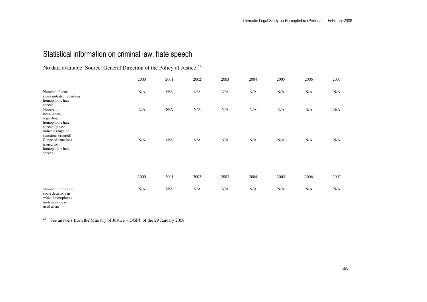### Statistical information on criminal law, hate speech

No data available. Source: General Direction of the Policy of Justice.<sup>23</sup>

|                                                                                                                                                                                                                                                                     | 2000 | 2001 | 2002 | 2003 | 2004 | 2005 | 2006 | 2007 |
|---------------------------------------------------------------------------------------------------------------------------------------------------------------------------------------------------------------------------------------------------------------------|------|------|------|------|------|------|------|------|
| Number of court<br>cases initiated regarding<br>homophobic hate<br>speech<br>Number of<br>convictions<br>regarding<br>homophobic hate<br>speech (please<br>indicate range of<br>sanctions ordered)<br>Range of sanctions<br>issued for<br>homophobic hate<br>speech | N/A  | N/A  | N/A  | N/A  | N/A  | N/A  | N/A  | N/A  |
|                                                                                                                                                                                                                                                                     | N/A  | N/A  | N/A  | N/A  | N/A  | N/A  | N/A  | N/A  |
|                                                                                                                                                                                                                                                                     | N/A  | N/A  | N/A  | N/A  | N/A  | N/A  | N/A  | N/A  |
|                                                                                                                                                                                                                                                                     | 2000 | 2001 | 2002 | 2003 | 2004 | 2005 | 2006 | 2007 |
| Number of criminal<br>court decisions in<br>which homophobic<br>motivation was<br>used as an                                                                                                                                                                        | N/A  | N/A  | N/A  | N/A  | N/A  | N/A  | N/A  | N/A  |

<sup>23</sup> See answers from the Ministry of Justice – DGPJ, of the 29 January 2008.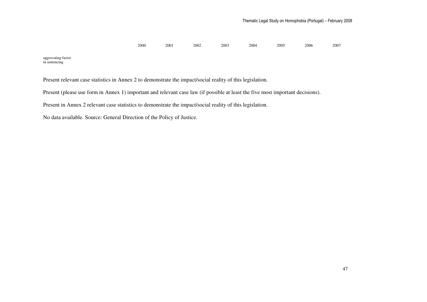

aggravating factor in sentencing

Present relevant case statistics in Annex 2 to demonstrate the impact/social reality of this legislation.

Present (please use form in Annex 1) important and relevant case law (if possible at least the five most important decisions).

Present in Annex 2 relevant case statistics to demonstrate the impact/social reality of this legislation.

No data available. Source: General Direction of the Policy of Justice.